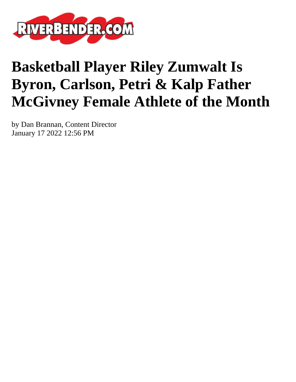

## **Basketball Player Riley Zumwalt Is Byron, Carlson, Petri & Kalp Father McGivney Female Athlete of the Month**

by Dan Brannan, Content Director January 17 2022 12:56 PM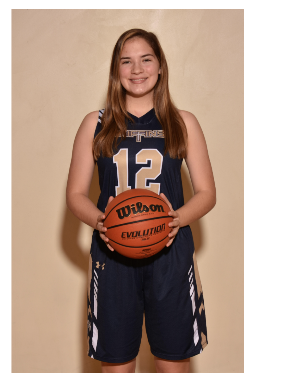